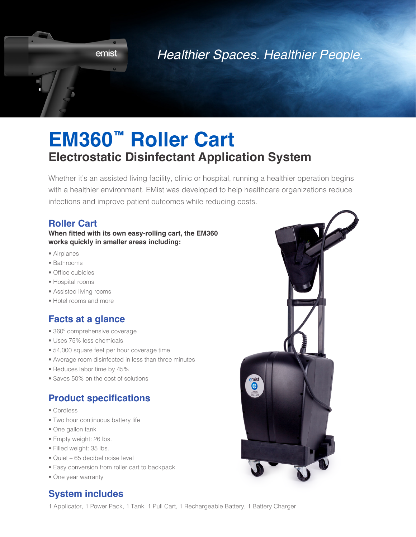

## *Healthier Spaces. Healthier People.*

# **EM360™ Roller Cart Electrostatic Disinfectant Application System**

Whether it's an assisted living facility, clinic or hospital, running a healthier operation begins with a healthier environment. EMist was developed to help healthcare organizations reduce infections and improve patient outcomes while reducing costs.

#### **Roller Cart**

#### **When fitted with its own easy-rolling cart, the EM360 works quickly in smaller areas including:**

- Airplanes
- Bathrooms
- Office cubicles
- Hospital rooms
- Assisted living rooms
- Hotel rooms and more

#### **Facts at a glance**

- 360º comprehensive coverage
- Uses 75% less chemicals
- 54,000 square feet per hour coverage time
- Average room disinfected in less than three minutes
- Reduces labor time by 45%
- Saves 50% on the cost of solutions

#### **Product specifications**

- Cordless
- Two hour continuous battery life
- One gallon tank
- Empty weight: 26 lbs.
- Filled weight: 35 lbs.
- Quiet 65 decibel noise level
- Easy conversion from roller cart to backpack
- One year warranty

### **System includes**

1 Applicator, 1 Power Pack, 1 Tank, 1 Pull Cart, 1 Rechargeable Battery, 1 Battery Charger